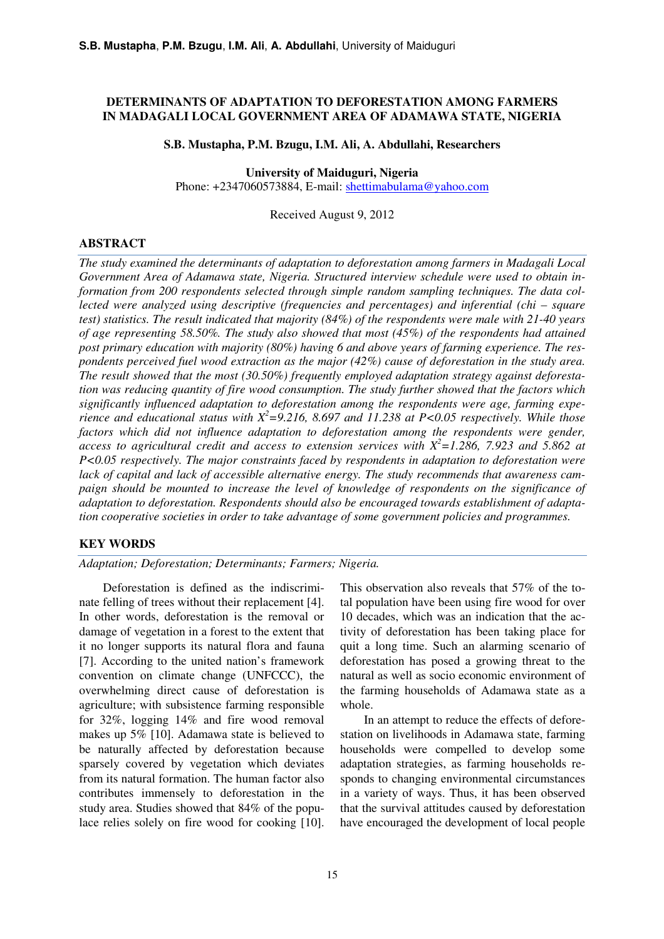# **DETERMINANTS OF ADAPTATION TO DEFORESTATION AMONG FARMERS IN MADAGALI LOCAL GOVERNMENT AREA OF ADAMAWA STATE, NIGERIA**

### **S.B. Mustapha, P.M. Bzugu, I.M. Ali, A. Abdullahi, Researchers**

#### **University of Maiduguri, Nigeria**

Phone: +2347060573884, E-mail: shettimabulama@yahoo.com

Received August 9, 2012

## **ABSTRACT**

*The study examined the determinants of adaptation to deforestation among farmers in Madagali Local Government Area of Adamawa state, Nigeria. Structured interview schedule were used to obtain information from 200 respondents selected through simple random sampling techniques. The data collected were analyzed using descriptive (frequencies and percentages) and inferential (chi – square test) statistics. The result indicated that majority (84%) of the respondents were male with 21-40 years of age representing 58.50%. The study also showed that most (45%) of the respondents had attained post primary education with majority (80%) having 6 and above years of farming experience. The respondents perceived fuel wood extraction as the major (42%) cause of deforestation in the study area. The result showed that the most (30.50%) frequently employed adaptation strategy against deforestation was reducing quantity of fire wood consumption. The study further showed that the factors which significantly influenced adaptation to deforestation among the respondents were age, farming experience and educational status with X <sup>2</sup>=9.216, 8.697 and 11.238 at P<0.05 respectively. While those factors which did not influence adaptation to deforestation among the respondents were gender, access to agricultural credit and access to extension services with X <sup>2</sup>=1.286, 7.923 and 5.862 at P<0.05 respectively. The major constraints faced by respondents in adaptation to deforestation were lack of capital and lack of accessible alternative energy. The study recommends that awareness campaign should be mounted to increase the level of knowledge of respondents on the significance of adaptation to deforestation. Respondents should also be encouraged towards establishment of adaptation cooperative societies in order to take advantage of some government policies and programmes.*

### **KEY WORDS**

*Adaptation; Deforestation; Determinants; Farmers; Nigeria.*

Deforestation is defined as the indiscriminate felling of trees without their replacement [4]. In other words, deforestation is the removal or damage of vegetation in a forest to the extent that it no longer supports its natural flora and fauna [7]. According to the united nation's framework convention on climate change (UNFCCC), the overwhelming direct cause of deforestation is agriculture; with subsistence farming responsible for 32%, logging 14% and fire wood removal makes up 5% [10]. Adamawa state is believed to be naturally affected by deforestation because sparsely covered by vegetation which deviates from its natural formation. The human factor also contributes immensely to deforestation in the study area. Studies showed that 84% of the populace relies solely on fire wood for cooking [10].

This observation also reveals that 57% of the total population have been using fire wood for over 10 decades, which was an indication that the activity of deforestation has been taking place for quit a long time. Such an alarming scenario of deforestation has posed a growing threat to the natural as well as socio economic environment of the farming households of Adamawa state as a whole.

In an attempt to reduce the effects of deforestation on livelihoods in Adamawa state, farming households were compelled to develop some adaptation strategies, as farming households responds to changing environmental circumstances in a variety of ways. Thus, it has been observed that the survival attitudes caused by deforestation have encouraged the development of local people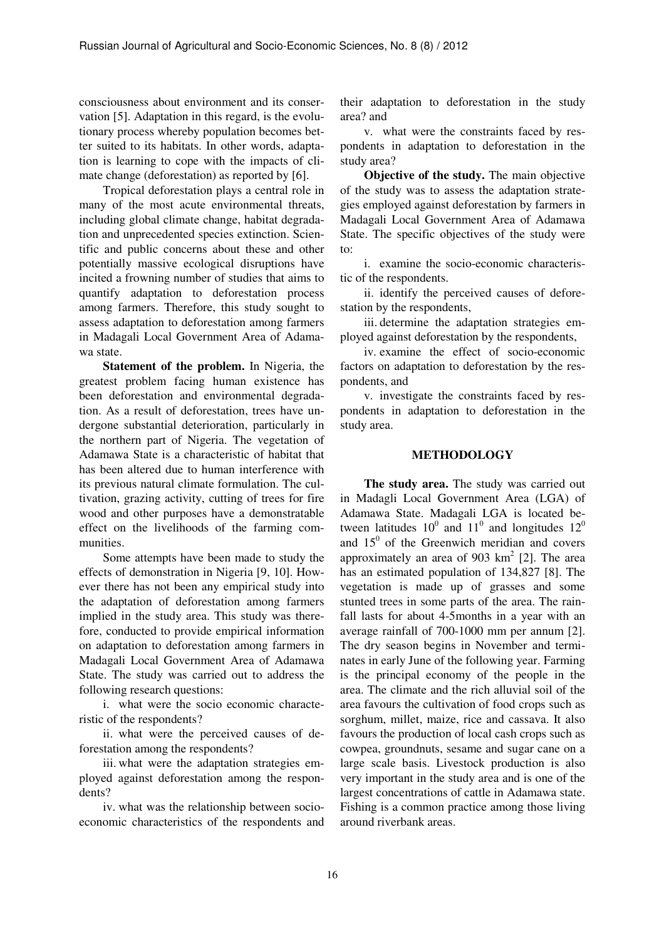consciousness about environment and its conservation [5]. Adaptation in this regard, is the evolutionary process whereby population becomes better suited to its habitats. In other words, adaptation is learning to cope with the impacts of climate change (deforestation) as reported by [6].

Tropical deforestation plays a central role in many of the most acute environmental threats, including global climate change, habitat degradation and unprecedented species extinction. Scientific and public concerns about these and other potentially massive ecological disruptions have incited a frowning number of studies that aims to quantify adaptation to deforestation process among farmers. Therefore, this study sought to assess adaptation to deforestation among farmers in Madagali Local Government Area of Adamawa state.

**Statement of the problem.** In Nigeria, the greatest problem facing human existence has been deforestation and environmental degradation. As a result of deforestation, trees have undergone substantial deterioration, particularly in the northern part of Nigeria. The vegetation of Adamawa State is a characteristic of habitat that has been altered due to human interference with its previous natural climate formulation. The cultivation, grazing activity, cutting of trees for fire wood and other purposes have a demonstratable effect on the livelihoods of the farming communities.

Some attempts have been made to study the effects of demonstration in Nigeria [9, 10]. However there has not been any empirical study into the adaptation of deforestation among farmers implied in the study area. This study was therefore, conducted to provide empirical information on adaptation to deforestation among farmers in Madagali Local Government Area of Adamawa State. The study was carried out to address the following research questions:

i. what were the socio economic characteristic of the respondents?

ii. what were the perceived causes of deforestation among the respondents?

iii. what were the adaptation strategies employed against deforestation among the respondents?

iv. what was the relationship between socioeconomic characteristics of the respondents and

their adaptation to deforestation in the study area? and

v. what were the constraints faced by respondents in adaptation to deforestation in the study area?

**Objective of the study.** The main objective of the study was to assess the adaptation strategies employed against deforestation by farmers in Madagali Local Government Area of Adamawa State. The specific objectives of the study were to:

i. examine the socio-economic characteristic of the respondents.

ii. identify the perceived causes of deforestation by the respondents,

iii. determine the adaptation strategies employed against deforestation by the respondents,

iv. examine the effect of socio-economic factors on adaptation to deforestation by the respondents, and

v. investigate the constraints faced by respondents in adaptation to deforestation in the study area.

#### **METHODOLOGY**

**The study area.** The study was carried out in Madagli Local Government Area (LGA) of Adamawa State. Madagali LGA is located between latitudes  $10^0$  and  $11^0$  and longitudes  $12^0$ and  $15^{\circ}$  of the Greenwich meridian and covers approximately an area of 903  $\text{km}^2$  [2]. The area has an estimated population of 134,827 [8]. The vegetation is made up of grasses and some stunted trees in some parts of the area. The rainfall lasts for about 4-5months in a year with an average rainfall of 700-1000 mm per annum [2]. The dry season begins in November and terminates in early June of the following year. Farming is the principal economy of the people in the area. The climate and the rich alluvial soil of the area favours the cultivation of food crops such as sorghum, millet, maize, rice and cassava. It also favours the production of local cash crops such as cowpea, groundnuts, sesame and sugar cane on a large scale basis. Livestock production is also very important in the study area and is one of the largest concentrations of cattle in Adamawa state. Fishing is a common practice among those living around riverbank areas.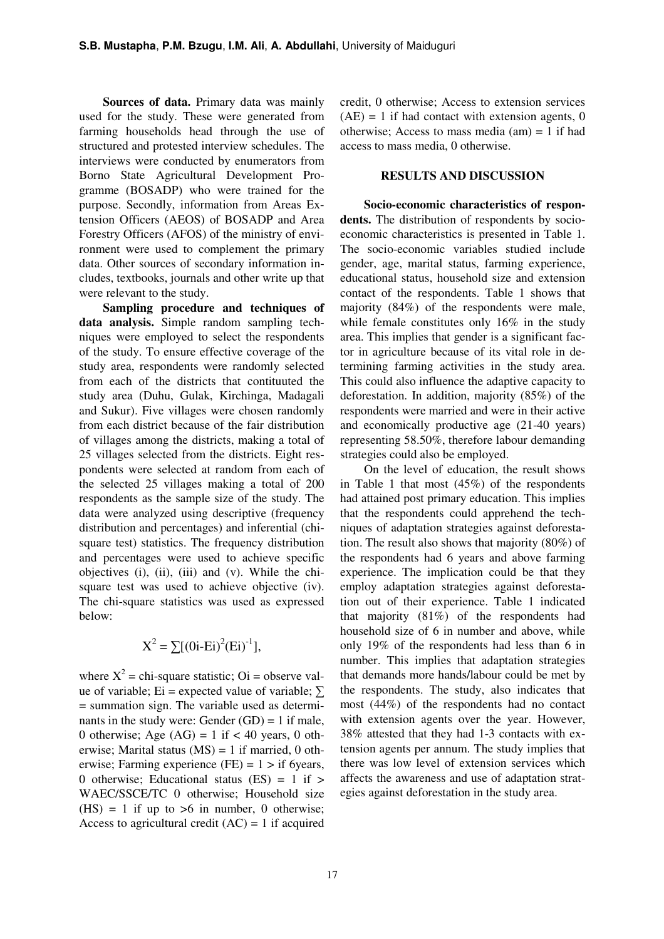**Sources of data.** Primary data was mainly used for the study. These were generated from farming households head through the use of structured and protested interview schedules. The interviews were conducted by enumerators from Borno State Agricultural Development Programme (BOSADP) who were trained for the purpose. Secondly, information from Areas Extension Officers (AEOS) of BOSADP and Area Forestry Officers (AFOS) of the ministry of environment were used to complement the primary data. Other sources of secondary information includes, textbooks, journals and other write up that were relevant to the study.

**Sampling procedure and techniques of data analysis.** Simple random sampling techniques were employed to select the respondents of the study. To ensure effective coverage of the study area, respondents were randomly selected from each of the districts that contituuted the study area (Duhu, Gulak, Kirchinga, Madagali and Sukur). Five villages were chosen randomly from each district because of the fair distribution of villages among the districts, making a total of 25 villages selected from the districts. Eight respondents were selected at random from each of the selected 25 villages making a total of 200 respondents as the sample size of the study. The data were analyzed using descriptive (frequency distribution and percentages) and inferential (chisquare test) statistics. The frequency distribution and percentages were used to achieve specific objectives (i), (ii), (iii) and (v). While the chisquare test was used to achieve objective (iv). The chi-square statistics was used as expressed below:

$$
X^2 = \sum [(0i-Ei)^2(Ei)^{-1}],
$$

where  $X^2$  = chi-square statistic; Oi = observe value of variable; Ei = expected value of variable;  $\Sigma$ = summation sign. The variable used as determinants in the study were: Gender  $(GD) = 1$  if male, 0 otherwise; Age  $(AG) = 1$  if < 40 years, 0 otherwise; Marital status (MS) = 1 if married, 0 otherwise; Farming experience (FE) =  $1 >$  if 6years, 0 otherwise; Educational status  $(ES) = 1$  if  $>$ WAEC/SSCE/TC 0 otherwise; Household size  $(HS) = 1$  if up to  $>6$  in number, 0 otherwise; Access to agricultural credit  $(AC) = 1$  if acquired

credit, 0 otherwise; Access to extension services  $(AE) = 1$  if had contact with extension agents, 0 otherwise; Access to mass media  $(am) = 1$  if had access to mass media, 0 otherwise.

### **RESULTS AND DISCUSSION**

**Socio-economic characteristics of respondents.** The distribution of respondents by socioeconomic characteristics is presented in Table 1. The socio-economic variables studied include gender, age, marital status, farming experience, educational status, household size and extension contact of the respondents. Table 1 shows that majority (84%) of the respondents were male, while female constitutes only 16% in the study area. This implies that gender is a significant factor in agriculture because of its vital role in determining farming activities in the study area. This could also influence the adaptive capacity to deforestation. In addition, majority (85%) of the respondents were married and were in their active and economically productive age (21-40 years) representing 58.50%, therefore labour demanding strategies could also be employed.

On the level of education, the result shows in Table 1 that most (45%) of the respondents had attained post primary education. This implies that the respondents could apprehend the techniques of adaptation strategies against deforestation. The result also shows that majority (80%) of the respondents had 6 years and above farming experience. The implication could be that they employ adaptation strategies against deforestation out of their experience. Table 1 indicated that majority (81%) of the respondents had household size of 6 in number and above, while only 19% of the respondents had less than 6 in number. This implies that adaptation strategies that demands more hands/labour could be met by the respondents. The study, also indicates that most (44%) of the respondents had no contact with extension agents over the year. However, 38% attested that they had 1-3 contacts with extension agents per annum. The study implies that there was low level of extension services which affects the awareness and use of adaptation strategies against deforestation in the study area.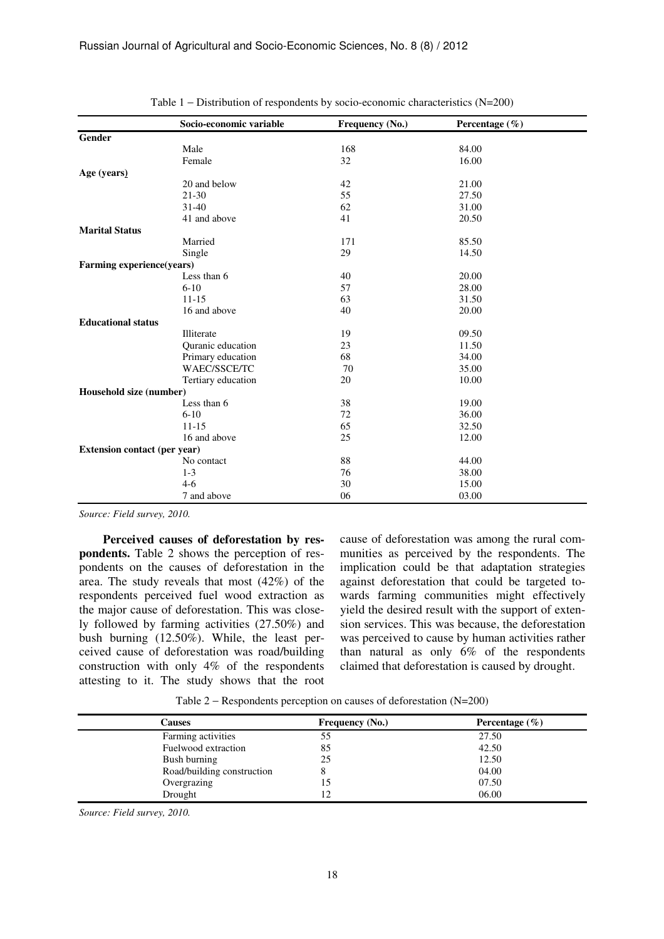|                                     | Socio-economic variable | Frequency (No.) | Percentage $(\% )$ |
|-------------------------------------|-------------------------|-----------------|--------------------|
| Gender                              |                         |                 |                    |
|                                     | Male                    | 168             | 84.00              |
|                                     | Female                  | 32              | 16.00              |
| Age (years)                         |                         |                 |                    |
|                                     | 20 and below            | 42              | 21.00              |
|                                     | 21-30                   | 55              | 27.50              |
|                                     | 31-40                   | 62              | 31.00              |
|                                     | 41 and above            | 41              | 20.50              |
| <b>Marital Status</b>               |                         |                 |                    |
|                                     | Married                 | 171             | 85.50              |
|                                     | Single                  | 29              | 14.50              |
| Farming experience(years)           |                         |                 |                    |
|                                     | Less than 6             | 40              | 20.00              |
|                                     | $6-10$                  | 57              | 28.00              |
|                                     | $11 - 15$               | 63              | 31.50              |
|                                     | 16 and above            | 40              | 20.00              |
| <b>Educational status</b>           |                         |                 |                    |
|                                     | Illiterate              | 19              | 09.50              |
|                                     | Quranic education       | 23              | 11.50              |
|                                     | Primary education       | 68              | 34.00              |
|                                     | <b>WAEC/SSCE/TC</b>     | 70              | 35.00              |
|                                     | Tertiary education      | 20              | 10.00              |
| Household size (number)             |                         |                 |                    |
|                                     | Less than 6             | 38              | 19.00              |
|                                     | $6 - 10$                | 72              | 36.00              |
|                                     | $11 - 15$               | 65              | 32.50              |
|                                     | 16 and above            | 25              | 12.00              |
| <b>Extension contact (per year)</b> |                         |                 |                    |
|                                     | No contact              | 88              | 44.00              |
|                                     | $1 - 3$                 | 76              | 38.00              |
|                                     | $4-6$                   | 30              | 15.00              |
|                                     | 7 and above             | 06              | 03.00              |

Table 1 − Distribution of respondents by socio-economic characteristics (N=200)

*Source: Field survey, 2010.*

**Perceived causes of deforestation by respondents.** Table 2 shows the perception of respondents on the causes of deforestation in the area. The study reveals that most (42%) of the respondents perceived fuel wood extraction as the major cause of deforestation. This was closely followed by farming activities (27.50%) and bush burning (12.50%). While, the least perceived cause of deforestation was road/building construction with only 4% of the respondents attesting to it. The study shows that the root cause of deforestation was among the rural communities as perceived by the respondents. The implication could be that adaptation strategies against deforestation that could be targeted towards farming communities might effectively yield the desired result with the support of extension services. This was because, the deforestation was perceived to cause by human activities rather than natural as only 6% of the respondents claimed that deforestation is caused by drought.

Table 2 − Respondents perception on causes of deforestation (N=200)

| Causes                     | <b>Frequency (No.)</b> | Percentage $(\% )$ |
|----------------------------|------------------------|--------------------|
| Farming activities         | 55                     | 27.50              |
| Fuelwood extraction        | 85                     | 42.50              |
| Bush burning               | 25                     | 12.50              |
| Road/building construction | 8                      | 04.00              |
| Overgrazing                | 15                     | 07.50              |
| Drought                    | 12                     | 06.00              |

*Source: Field survey, 2010.*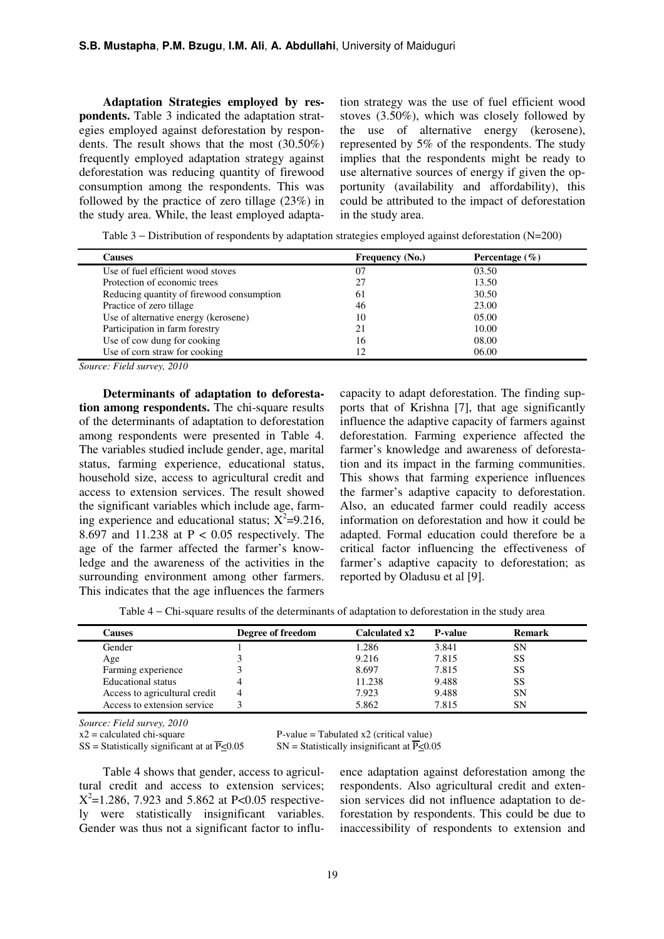**Adaptation Strategies employed by respondents.** Table 3 indicated the adaptation strategies employed against deforestation by respondents. The result shows that the most (30.50%) frequently employed adaptation strategy against deforestation was reducing quantity of firewood consumption among the respondents. This was followed by the practice of zero tillage (23%) in the study area. While, the least employed adapta-

tion strategy was the use of fuel efficient wood stoves (3.50%), which was closely followed by the use of alternative energy (kerosene), represented by 5% of the respondents. The study implies that the respondents might be ready to use alternative sources of energy if given the opportunity (availability and affordability), this could be attributed to the impact of deforestation in the study area.

| Causes                                    | <b>Frequency</b> (No.) | Percentage $(\% )$ |  |
|-------------------------------------------|------------------------|--------------------|--|
| Use of fuel efficient wood stoves         | 07                     | 03.50              |  |
| Protection of economic trees              | 27                     | 13.50              |  |
| Reducing quantity of firewood consumption | 61                     | 30.50              |  |
| Practice of zero tillage                  | 46                     | 23.00              |  |
| Use of alternative energy (kerosene)      | 10                     | 05.00              |  |
| Participation in farm forestry            | 21                     | 10.00              |  |
| Use of cow dung for cooking               | 16                     | 08.00              |  |
| Use of corn straw for cooking             | 12                     | 06.00              |  |

Table 3 − Distribution of respondents by adaptation strategies employed against deforestation (N=200)

*Source: Field survey, 2010*

**Determinants of adaptation to deforestation among respondents.** The chi-square results of the determinants of adaptation to deforestation among respondents were presented in Table 4. The variables studied include gender, age, marital status, farming experience, educational status, household size, access to agricultural credit and access to extension services. The result showed the significant variables which include age, farming experience and educational status;  $X^2=9.216$ , 8.697 and 11.238 at  $P < 0.05$  respectively. The age of the farmer affected the farmer's knowledge and the awareness of the activities in the surrounding environment among other farmers. This indicates that the age influences the farmers

capacity to adapt deforestation. The finding supports that of Krishna [7], that age significantly influence the adaptive capacity of farmers against deforestation. Farming experience affected the farmer's knowledge and awareness of deforestation and its impact in the farming communities. This shows that farming experience influences the farmer's adaptive capacity to deforestation. Also, an educated farmer could readily access information on deforestation and how it could be adapted. Formal education could therefore be a critical factor influencing the effectiveness of farmer's adaptive capacity to deforestation; as reported by Oladusu et al [9].

Table 4 − Chi-square results of the determinants of adaptation to deforestation in the study area

| Causes                        | Degree of freedom | Calculated x2 | <b>P-value</b> | <b>Remark</b> |
|-------------------------------|-------------------|---------------|----------------|---------------|
| Gender                        |                   | 1.286         | 3.841          | <b>SN</b>     |
| Age                           |                   | 9.216         | 7.815          | SS            |
| Farming experience            |                   | 8.697         | 7.815          | SS            |
| <b>Educational</b> status     |                   | 11.238        | 9.488          | SS            |
| Access to agricultural credit | 4                 | 7.923         | 9.488          | <b>SN</b>     |
| Access to extension service   |                   | 5.862         | 7.815          | <b>SN</b>     |

*Source: Field survey, 2010*

 $x2$  = calculated chi-square<br>SS = Statistically significant at at  $\overline{P}$ <0.05 SN = Statistically insignificant at  $\overline{P}$ <0.05

 $SS = Statistically significant at at \overline{P} < 0.05$ 

Table 4 shows that gender, access to agricultural credit and access to extension services;  $X^2$ =1.286, 7.923 and 5.862 at P<0.05 respectively were statistically insignificant variables. Gender was thus not a significant factor to influ-

ence adaptation against deforestation among the respondents. Also agricultural credit and extension services did not influence adaptation to deforestation by respondents. This could be due to inaccessibility of respondents to extension and